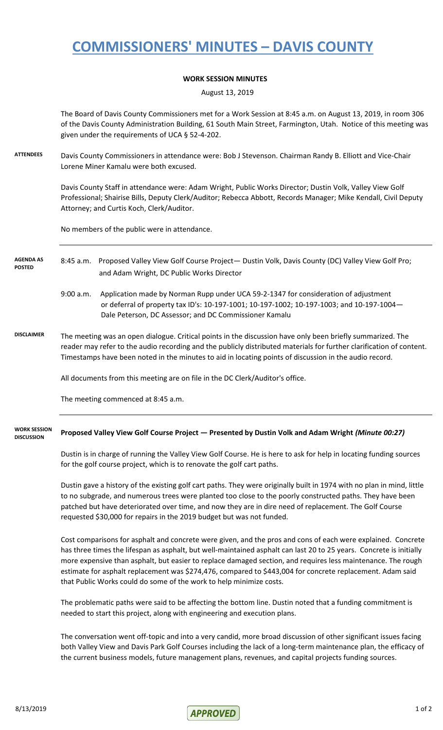## **COMMISSIONERS' MINUTES – DAVIS COUNTY**

### **WORK SESSION MINUTES**

August 13, 2019

The Board of Davis County Commissioners met for a Work Session at 8:45 a.m. on August 13, 2019, in room 306 of the Davis County Administration Building, 61 South Main Street, Farmington, Utah. Notice of this meeting was given under the requirements of UCA § 52-4-202.

**ATTENDEES** Davis County Commissioners in attendance were: Bob J Stevenson. Chairman Randy B. Elliott and Vice-Chair Lorene Miner Kamalu were both excused.

> Davis County Staff in attendance were: Adam Wright, Public Works Director; Dustin Volk, Valley View Golf Professional; Shairise Bills, Deputy Clerk/Auditor; Rebecca Abbott, Records Manager; Mike Kendall, Civil Deputy Attorney; and Curtis Koch, Clerk/Auditor.

No members of the public were in attendance.

### 8:45 a.m. Proposed Valley View Golf Course Project— Dustin Volk, Davis County (DC) Valley View Golf Pro; and Adam Wright, DC Public Works Director **AGENDA AS POSTED**

- 9:00 a.m. Application made by Norman Rupp under UCA 59-2-1347 for consideration of adjustment or deferral of property tax ID's: 10-197-1001; 10-197-1002; 10-197-1003; and 10-197-1004— Dale Peterson, DC Assessor; and DC Commissioner Kamalu
- **DISCLAIMER** The meeting was an open dialogue. Critical points in the discussion have only been briefly summarized. The reader may refer to the audio recording and the publicly distributed materials for further clarification of content. Timestamps have been noted in the minutes to aid in locating points of discussion in the audio record.

All documents from this meeting are on file in the DC Clerk/Auditor's office.

The meeting commenced at 8:45 a.m.

#### **Proposed Valley View Golf Course Project — Presented by Dustin Volk and Adam Wright** *(Minute 00:27)* **WORK SESSION DISCUSSION**

Dustin is in charge of running the Valley View Golf Course. He is here to ask for help in locating funding sources for the golf course project, which is to renovate the golf cart paths.

Dustin gave a history of the existing golf cart paths. They were originally built in 1974 with no plan in mind, little to no subgrade, and numerous trees were planted too close to the poorly constructed paths. They have been patched but have deteriorated over time, and now they are in dire need of replacement. The Golf Course requested \$30,000 for repairs in the 2019 budget but was not funded.

Cost comparisons for asphalt and concrete were given, and the pros and cons of each were explained. Concrete has three times the lifespan as asphalt, but well-maintained asphalt can last 20 to 25 years. Concrete is initially more expensive than asphalt, but easier to replace damaged section, and requires less maintenance. The rough estimate for asphalt replacement was \$274,476, compared to \$443,004 for concrete replacement. Adam said that Public Works could do some of the work to help minimize costs.

The problematic paths were said to be affecting the bottom line. Dustin noted that a funding commitment is needed to start this project, along with engineering and execution plans.

The conversation went off-topic and into a very candid, more broad discussion of other significant issues facing both Valley View and Davis Park Golf Courses including the lack of a long-term maintenance plan, the efficacy of the current business models, future management plans, revenues, and capital projects funding sources.